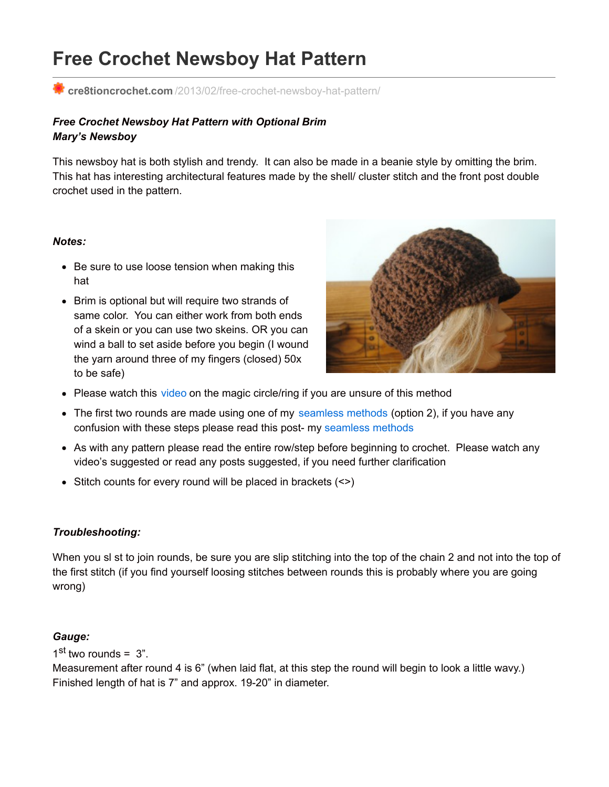# **Free Crochet Newsboy Hat Pattern**

**cre8tioncrochet.com** [/2013/02/free-crochet-newsboy-hat-pattern/](http://cre8tioncrochet.com/2013/02/free-crochet-newsboy-hat-pattern/)

# *Free Crochet Newsboy Hat Pattern with Optional Brim Mary's Newsboy*

This newsboy hat is both stylish and trendy. It can also be made in a beanie style by omitting the brim. This hat has interesting architectural features made by the shell/ cluster stitch and the front post double crochet used in the pattern.

#### *Notes:*

- Be sure to use loose tension when making this hat
- Brim is optional but will require two strands of same color. You can either work from both ends of a skein or you can use two skeins. OR you can wind a ball to set aside before you begin (I wound the yarn around three of my fingers (closed) 50x to be safe)



- Please watch this [video](http://jessieathome.com/2012/12/magic-loop-video-tutorial.html) on the magic circle/ring if you are unsure of this method
- The first two rounds are made using one of my [seamless](http://cre8tioncrochet.com/2012/12/new-weekly-feature/) methods (option 2), if you have any confusion with these steps please read this post- my [seamless](http://cre8tioncrochet.com/2012/12/new-weekly-feature/) methods
- As with any pattern please read the entire row/step before beginning to crochet. Please watch any video's suggested or read any posts suggested, if you need further clarification
- $\bullet$  Stitch counts for every round will be placed in brackets  $(\le)$

# *Troubleshooting:*

When you sl st to join rounds, be sure you are slip stitching into the top of the chain 2 and not into the top of the first stitch (if you find yourself loosing stitches between rounds this is probably where you are going wrong)

# *Gauge:*

 $1<sup>st</sup>$  two rounds = 3".

Measurement after round 4 is 6" (when laid flat, at this step the round will begin to look a little wavy.) Finished length of hat is 7" and approx. 19-20" in diameter.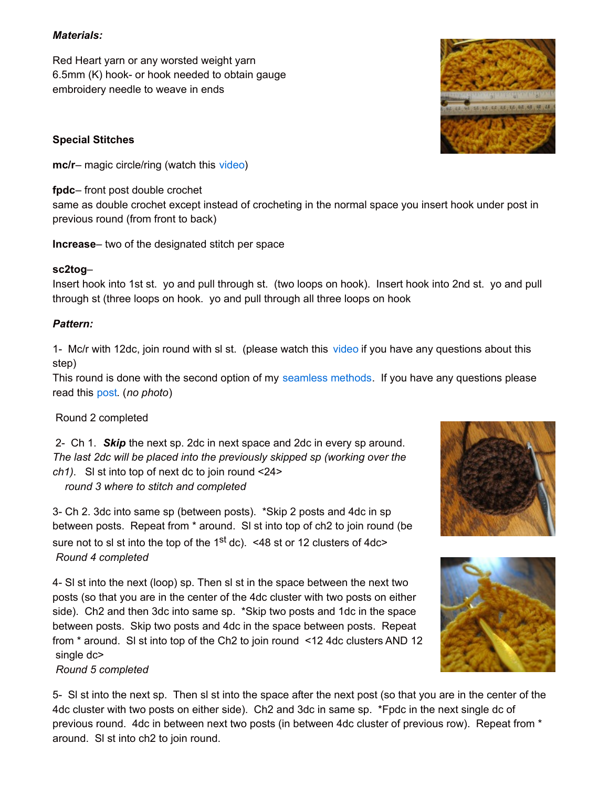## *Materials:*

Red Heart yarn or any worsted weight yarn 6.5mm (K) hook- or hook needed to obtain gauge embroidery needle to weave in ends

## **Special Stitches**

**mc/r**– magic circle/ring (watch this [video](http://jessieathome.com/2012/12/magic-loop-video-tutorial.html))

**fpdc**– front post double crochet

same as double crochet except instead of crocheting in the normal space you insert hook under post in previous round (from front to back)

**Increase**– two of the designated stitch per space

## **sc2tog**–

Insert hook into 1st st. yo and pull through st. (two loops on hook). Insert hook into 2nd st. yo and pull through st (three loops on hook. yo and pull through all three loops on hook

## *Pattern:*

1- Mc/r with 12dc, join round with sl st. (please watch this [video](http://jessieathome.com/2012/12/magic-loop-video-tutorial.html) if you have any questions about this step)

This round is done with the second option of my [seamless](http://cre8tioncrochet.com/2012/12/new-weekly-feature/) methods. If you have any questions please read this [post](http://cre8tioncrochet.com/2012/12/new-weekly-feature/). (*no photo*)

# Round 2 completed

2- Ch 1. *Skip* the next sp. 2dc in next space and 2dc in every sp around. *The last 2dc will be placed into the previously skipped sp (working over the ch1)*. Sl st into top of next dc to join round <24>

*round 3 where to stitch and completed*

3- Ch 2. 3dc into same sp (between posts). \*Skip 2 posts and 4dc in sp between posts. Repeat from \* around. Sl st into top of ch2 to join round (be sure not to sl st into the top of the 1<sup>st</sup> dc). <48 st or 12 clusters of 4dc> *Round 4 completed*

4- Sl st into the next (loop) sp. Then sl st in the space between the next two posts (so that you are in the center of the 4dc cluster with two posts on either side). Ch2 and then 3dc into same sp. \*Skip two posts and 1dc in the space between posts. Skip two posts and 4dc in the space between posts. Repeat from \* around. Sl st into top of the Ch2 to join round <12 4dc clusters AND 12 single dc>

#### *Round 5 completed*

5- Sl st into the next sp. Then sl st into the space after the next post (so that you are in the center of the 4dc cluster with two posts on either side). Ch2 and 3dc in same sp. \*Fpdc in the next single dc of previous round. 4dc in between next two posts (in between 4dc cluster of previous row). Repeat from \* around. Sl st into ch2 to join round.





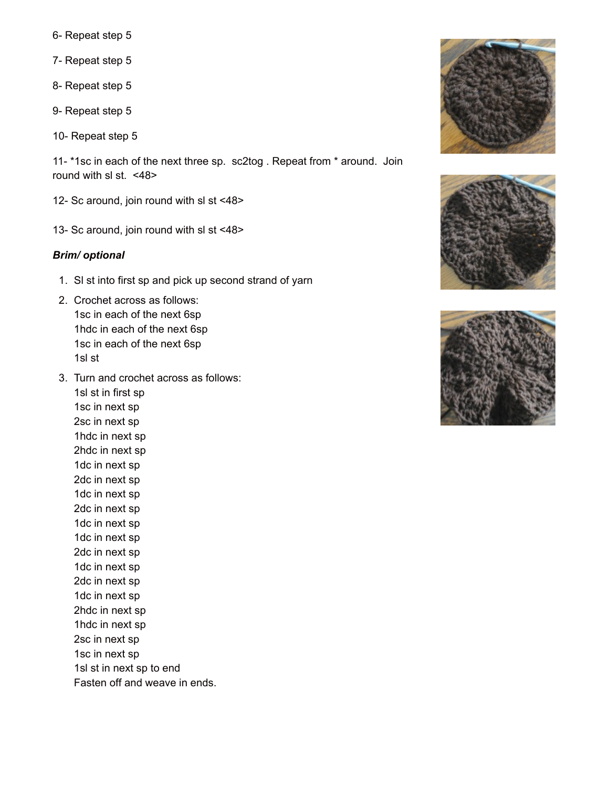- 6- Repeat step 5
- 7- Repeat step 5
- 8- Repeat step 5
- 9- Repeat step 5
- 10- Repeat step 5

11- \*1sc in each of the next three sp. sc2tog . Repeat from \* around. Join round with sl st. <48>

- 12- Sc around, join round with sl st <48>
- 13- Sc around, join round with sl st <48>

#### *Brim/ optional*

- 1. Sl st into first sp and pick up second strand of yarn
- 2. Crochet across as follows: 1sc in each of the next 6sp 1hdc in each of the next 6sp 1sc in each of the next 6sp 1sl st
- 3. Turn and crochet across as follows:

1sl st in first sp 1sc in next sp 2sc in next sp 1hdc in next sp 2hdc in next sp 1dc in next sp 2dc in next sp 1dc in next sp 2dc in next sp 1dc in next sp 1dc in next sp 2dc in next sp 1dc in next sp 2dc in next sp 1dc in next sp 2hdc in next sp 1hdc in next sp 2sc in next sp 1sc in next sp 1sl st in next sp to end Fasten off and weave in ends.





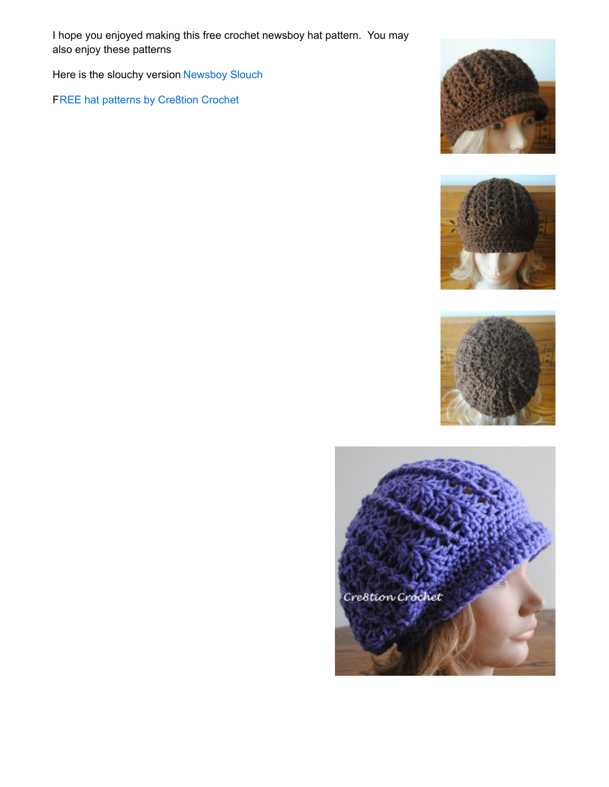I hope you enjoyed making this free crochet newsboy hat pattern. You may also enjoy these patterns

Here is the slouchy version [Newsboy](http://www.cre8tioncrochet.com/2013/03/newsboy-slouch-crochet-hat/) Slouch

FREE hat patterns by [Cre8tion](http://www.cre8tioncrochet.com/free-womens-hat-patterns/) Crochet